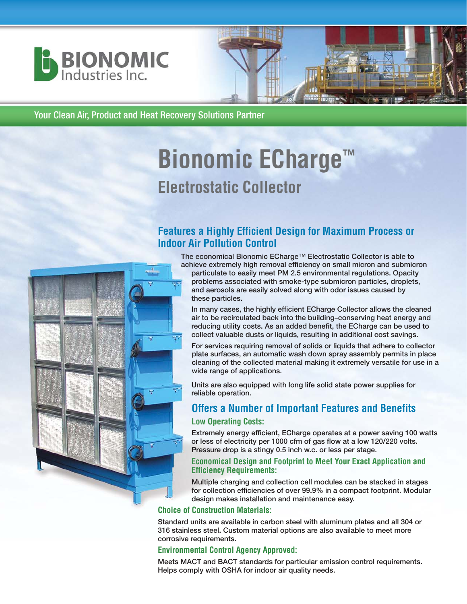



Your Clean Air, Product and Heat Recovery Solutions Partner

# **Bionomic ECharge™ Electrostatic Collector**

## **Features a Highly Efficient Design for Maximum Process or Indoor Air Pollution Control**

**The economical Bionomic ECharge™ Electrostatic Collector is able to achieve extremely high removal efficiency on small micron and submicron**



**In many cases, the highly efficient ECharge Collector allows the cleaned air to be recirculated back into the building–conserving heat energy and reducing utility costs. As an added benefit, the ECharge can be used to collect valuable dusts or liquids, resulting in additional cost savings.**

**For services requiring removal of solids or liquids that adhere to collector plate surfaces, an automatic wash down spray assembly permits in place cleaning of the collected material making it extremely versatile for use in a wide range of applications.** 

**Units are also equipped with long life solid state power supplies for reliable operation.** 

## **Offers a Number of Important Features and Benefits**

#### **Low Operating Costs:**

**Extremely energy efficient, ECharge operates at a power saving 100 watts or less of electricity per 1000 cfm of gas flow at a low 120/220 volts. Pressure drop is a stingy 0.5 inch w.c. or less per stage.**

#### **Economical Design and Footprint to Meet Your Exact Application and Efficiency Requirements:**

**Multiple charging and collection cell modules can be stacked in stages for collection efficiencies of over 99.9% in a compact footprint. Modular design makes installation and maintenance easy.**

#### **Choice of Construction Materials:**

**Standard units are available in carbon steel with aluminum plates and all 304 or 316 stainless steel. Custom material options are also available to meet more corrosive requirements.**

#### **Environmental Control Agency Approved:**

**Meets MACT and BACT standards for particular emission control requirements. Helps comply with OSHA for indoor air quality needs.**